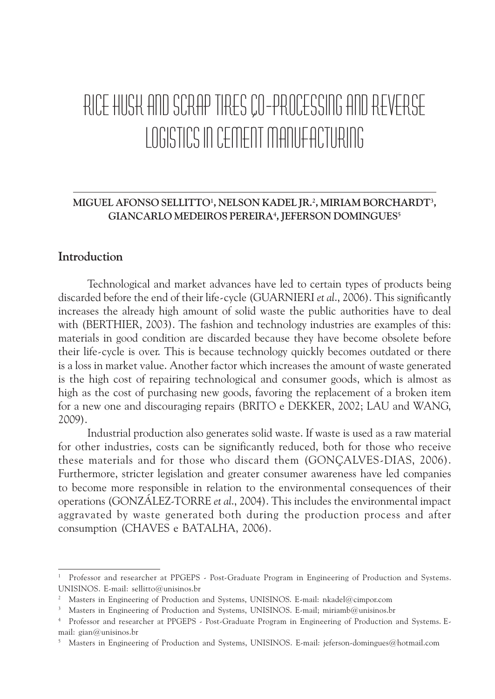# RICE HUSK AND SCRAP TIRES CO-PROCESSING AND REVERSE LOGISTICS IN CEMENT MANUFACTURING

### **MIGUEL AFONSO SELLITTO1 , NELSON KADEL JR.2 , MIRIAM BORCHARDT3 , GIANCARLO MEDEIROS PEREIRA4 , JEFERSON DOMINGUES5**

# **Introduction**

Technological and market advances have led to certain types of products being discarded before the end of their life-cycle (GUARNIERI *et al*., 2006). This significantly increases the already high amount of solid waste the public authorities have to deal with (BERTHIER, 2003). The fashion and technology industries are examples of this: materials in good condition are discarded because they have become obsolete before their life-cycle is over. This is because technology quickly becomes outdated or there is a loss in market value. Another factor which increases the amount of waste generated is the high cost of repairing technological and consumer goods, which is almost as high as the cost of purchasing new goods, favoring the replacement of a broken item for a new one and discouraging repairs (BRITO e DEKKER, 2002; LAU and WANG, 2009).

Industrial production also generates solid waste. If waste is used as a raw material for other industries, costs can be significantly reduced, both for those who receive these materials and for those who discard them (GONÇALVES-DIAS, 2006). Furthermore, stricter legislation and greater consumer awareness have led companies to become more responsible in relation to the environmental consequences of their operations (GONZÁLEZ-TORRE *et al*., 2004). This includes the environmental impact aggravated by waste generated both during the production process and after consumption (CHAVES e BATALHA, 2006).

<sup>1</sup> Professor and researcher at PPGEPS - Post-Graduate Program in Engineering of Production and Systems. UNISINOS. E-mail: sellitto@unisinos.br

<sup>&</sup>lt;sup>2</sup> Masters in Engineering of Production and Systems, UNISINOS. E-mail: nkadel@cimpor.com

Masters in Engineering of Production and Systems, UNISINOS. E-mail; miriamb@unisinos.br

<sup>4</sup> Professor and researcher at PPGEPS - Post-Graduate Program in Engineering of Production and Systems. Email: gian@unisinos.br

<sup>5</sup> Masters in Engineering of Production and Systems, UNISINOS. E-mail: jeferson-domingues@hotmail.com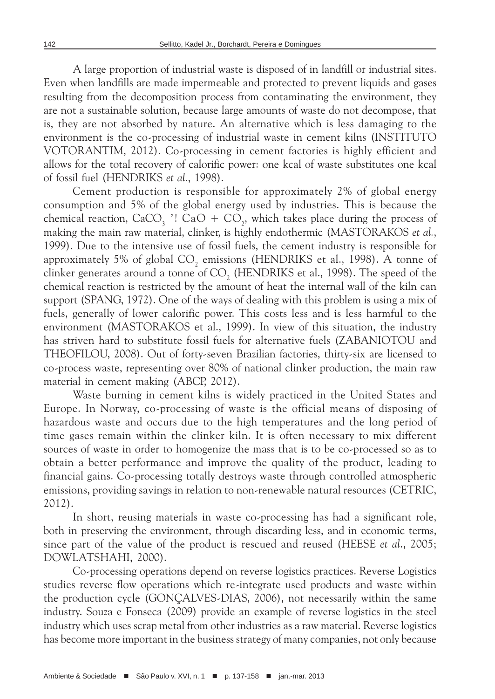A large proportion of industrial waste is disposed of in landfill or industrial sites. Even when landfills are made impermeable and protected to prevent liquids and gases resulting from the decomposition process from contaminating the environment, they are not a sustainable solution, because large amounts of waste do not decompose, that is, they are not absorbed by nature. An alternative which is less damaging to the environment is the co-processing of industrial waste in cement kilns (INSTITUTO VOTORANTIM, 2012). Co-processing in cement factories is highly efficient and allows for the total recovery of calorific power: one kcal of waste substitutes one kcal of fossil fuel (HENDRIKS *et al*., 1998).

Cement production is responsible for approximately 2% of global energy consumption and 5% of the global energy used by industries. This is because the chemical reaction, CaCO<sub>3</sub> '! CaO + CO<sub>2</sub>, which takes place during the process of making the main raw material, clinker, is highly endothermic (MASTORAKOS *et al.*, 1999). Due to the intensive use of fossil fuels, the cement industry is responsible for approximately 5% of global CO<sub>2</sub> emissions (HENDRIKS et al., 1998). A tonne of clinker generates around a tonne of CO<sub>2</sub> (HENDRIKS et al., 1998). The speed of the chemical reaction is restricted by the amount of heat the internal wall of the kiln can support (SPANG, 1972). One of the ways of dealing with this problem is using a mix of fuels, generally of lower calorific power. This costs less and is less harmful to the environment (MASTORAKOS et al., 1999). In view of this situation, the industry has striven hard to substitute fossil fuels for alternative fuels (ZABANIOTOU and THEOFILOU, 2008). Out of forty-seven Brazilian factories, thirty-six are licensed to co-process waste, representing over 80% of national clinker production, the main raw material in cement making (ABCP, 2012).

Waste burning in cement kilns is widely practiced in the United States and Europe. In Norway, co-processing of waste is the official means of disposing of hazardous waste and occurs due to the high temperatures and the long period of time gases remain within the clinker kiln. It is often necessary to mix different sources of waste in order to homogenize the mass that is to be co-processed so as to obtain a better performance and improve the quality of the product, leading to financial gains. Co-processing totally destroys waste through controlled atmospheric emissions, providing savings in relation to non-renewable natural resources (CETRIC, 2012).

In short, reusing materials in waste co-processing has had a significant role, both in preserving the environment, through discarding less, and in economic terms, since part of the value of the product is rescued and reused (HEESE *et al*., 2005; DOWLATSHAHI, 2000).

Co-processing operations depend on reverse logistics practices. Reverse Logistics studies reverse flow operations which re-integrate used products and waste within the production cycle (GONÇALVES-DIAS, 2006), not necessarily within the same industry. Souza e Fonseca (2009) provide an example of reverse logistics in the steel industry which uses scrap metal from other industries as a raw material. Reverse logistics has become more important in the business strategy of many companies, not only because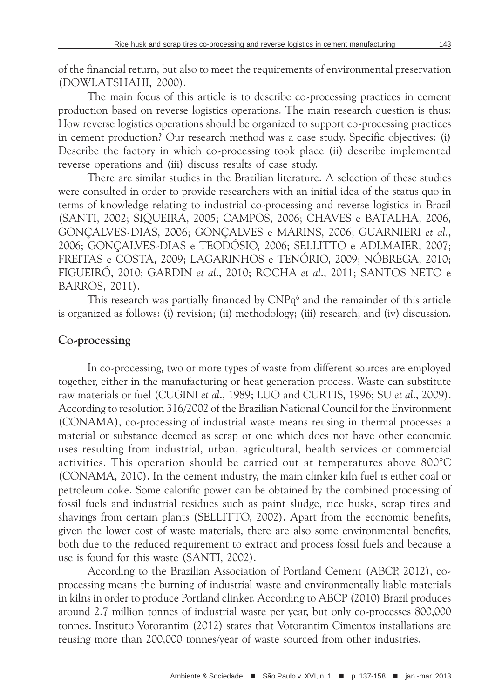of the financial return, but also to meet the requirements of environmental preservation (DOWLATSHAHI, 2000).

The main focus of this article is to describe co-processing practices in cement production based on reverse logistics operations. The main research question is thus: How reverse logistics operations should be organized to support co-processing practices in cement production? Our research method was a case study. Specific objectives: (i) Describe the factory in which co-processing took place (ii) describe implemented reverse operations and (iii) discuss results of case study.

There are similar studies in the Brazilian literature. A selection of these studies were consulted in order to provide researchers with an initial idea of the status quo in terms of knowledge relating to industrial co-processing and reverse logistics in Brazil (SANTI, 2002; SIQUEIRA, 2005; CAMPOS, 2006; CHAVES e BATALHA, 2006, GONÇALVES-DIAS, 2006; GONÇALVES e MARINS, 2006; GUARNIERI *et al.*, 2006; GONÇALVES-DIAS e TEODÓSIO, 2006; SELLITTO e ADLMAIER, 2007; FREITAS e COSTA, 2009; LAGARINHOS e TENÓRIO, 2009; NÓBREGA, 2010; FIGUEIRÓ, 2010; GARDIN *et al*., 2010; ROCHA *et al*., 2011; SANTOS NETO e BARROS, 2011).

This research was partially financed by  $\mathrm{CNPq}^6$  and the remainder of this article is organized as follows: (i) revision; (ii) methodology; (iii) research; and (iv) discussion.

#### **Co-processing**

In co-processing, two or more types of waste from different sources are employed together, either in the manufacturing or heat generation process. Waste can substitute raw materials or fuel (CUGINI *et al*., 1989; LUO and CURTIS, 1996; SU *et al*., 2009). According to resolution 316/2002 of the Brazilian National Council for the Environment (CONAMA), co-processing of industrial waste means reusing in thermal processes a material or substance deemed as scrap or one which does not have other economic uses resulting from industrial, urban, agricultural, health services or commercial activities. This operation should be carried out at temperatures above 800°C (CONAMA, 2010). In the cement industry, the main clinker kiln fuel is either coal or petroleum coke. Some calorific power can be obtained by the combined processing of fossil fuels and industrial residues such as paint sludge, rice husks, scrap tires and shavings from certain plants (SELLITTO, 2002). Apart from the economic benefits, given the lower cost of waste materials, there are also some environmental benefits, both due to the reduced requirement to extract and process fossil fuels and because a use is found for this waste (SANTI, 2002).

According to the Brazilian Association of Portland Cement (ABCP, 2012), coprocessing means the burning of industrial waste and environmentally liable materials in kilns in order to produce Portland clinker. According to ABCP (2010) Brazil produces around 2.7 million tonnes of industrial waste per year, but only co-processes 800,000 tonnes. Instituto Votorantim (2012) states that Votorantim Cimentos installations are reusing more than 200,000 tonnes/year of waste sourced from other industries.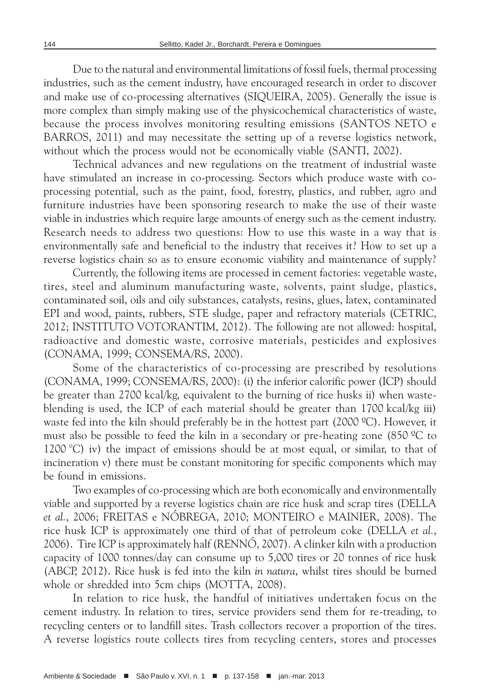Due to the natural and environmental limitations of fossil fuels, thermal processing industries, such as the cement industry, have encouraged research in order to discover and make use of co-processing alternatives (SIQUEIRA, 2005). Generally the issue is more complex than simply making use of the physicochemical characteristics of waste, because the process involves monitoring resulting emissions (SANTOS NETO e BARROS, 2011) and may necessitate the setting up of a reverse logistics network, without which the process would not be economically viable (SANTI, 2002).

Technical advances and new regulations on the treatment of industrial waste have stimulated an increase in co-processing. Sectors which produce waste with coprocessing potential, such as the paint, food, forestry, plastics, and rubber, agro and furniture industries have been sponsoring research to make the use of their waste viable in industries which require large amounts of energy such as the cement industry. Research needs to address two questions: How to use this waste in a way that is environmentally safe and beneficial to the industry that receives it? How to set up a reverse logistics chain so as to ensure economic viability and maintenance of supply?

Currently, the following items are processed in cement factories: vegetable waste, tires, steel and aluminum manufacturing waste, solvents, paint sludge, plastics, contaminated soil, oils and oily substances, catalysts, resins, glues, latex, contaminated EPI and wood, paints, rubbers, STE sludge, paper and refractory materials (CETRIC, 2012; INSTITUTO VOTORANTIM, 2012). The following are not allowed: hospital, radioactive and domestic waste, corrosive materials, pesticides and explosives (CONAMA, 1999; CONSEMA/RS, 2000).

Some of the characteristics of co-processing are prescribed by resolutions (CONAMA, 1999; CONSEMA/RS, 2000): (i) the inferior calorific power (ICP) should be greater than 2700 kcal/kg, equivalent to the burning of rice husks ii) when wasteblending is used, the ICP of each material should be greater than 1700 kcal/kg iii) waste fed into the kiln should preferably be in the hottest part (2000 °C). However, it must also be possible to feed the kiln in a secondary or pre-heating zone (850 ºC to 1200 °C) iv) the impact of emissions should be at most equal, or similar, to that of incineration v) there must be constant monitoring for specific components which may be found in emissions.

Two examples of co-processing which are both economically and environmentally viable and supported by a reverse logistics chain are rice husk and scrap tires (DELLA *et al.*, 2006; FREITAS e NÓBREGA, 2010; MONTEIRO e MAINIER, 2008). The rice husk ICP is approximately one third of that of petroleum coke (DELLA *et al.*, 2006). Tire ICP is approximately half (RENNÓ, 2007). A clinker kiln with a production capacity of 1000 tonnes/day can consume up to 5,000 tires or 20 tonnes of rice husk (ABCP, 2012). Rice husk is fed into the kiln *in natura*, whilst tires should be burned whole or shredded into 5cm chips (MOTTA, 2008).

In relation to rice husk, the handful of initiatives undertaken focus on the cement industry. In relation to tires, service providers send them for re-treading, to recycling centers or to landfill sites. Trash collectors recover a proportion of the tires. A reverse logistics route collects tires from recycling centers, stores and processes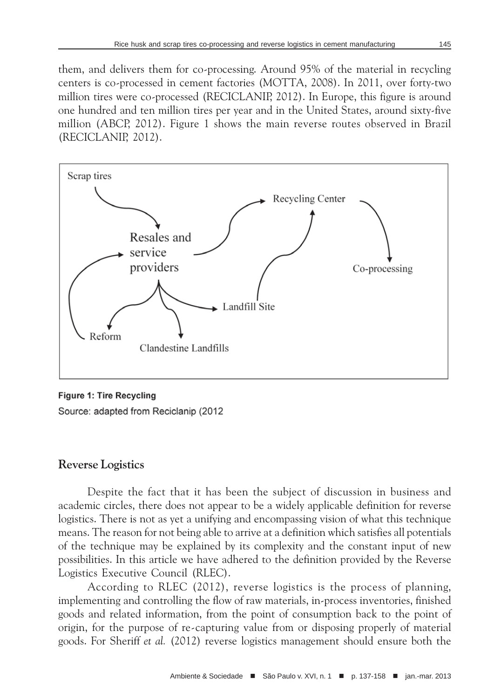them, and delivers them for co-processing. Around 95% of the material in recycling centers is co-processed in cement factories (MOTTA, 2008). In 2011, over forty-two million tires were co-processed (RECICLANIP, 2012). In Europe, this figure is around one hundred and ten million tires per year and in the United States, around sixty-five million (ABCP, 2012). Figure 1 shows the main reverse routes observed in Brazil (RECICLANIP, 2012).



**Figure 1: Tire Recycling** Source: adapted from Reciclanip (2012

# **Reverse Logistics**

Despite the fact that it has been the subject of discussion in business and academic circles, there does not appear to be a widely applicable definition for reverse logistics. There is not as yet a unifying and encompassing vision of what this technique means. The reason for not being able to arrive at a definition which satisfies all potentials of the technique may be explained by its complexity and the constant input of new possibilities. In this article we have adhered to the definition provided by the Reverse Logistics Executive Council (RLEC).

According to RLEC (2012), reverse logistics is the process of planning, implementing and controlling the flow of raw materials, in-process inventories, finished goods and related information, from the point of consumption back to the point of origin, for the purpose of re-capturing value from or disposing properly of material goods. For Sheriff *et al.* (2012) reverse logistics management should ensure both the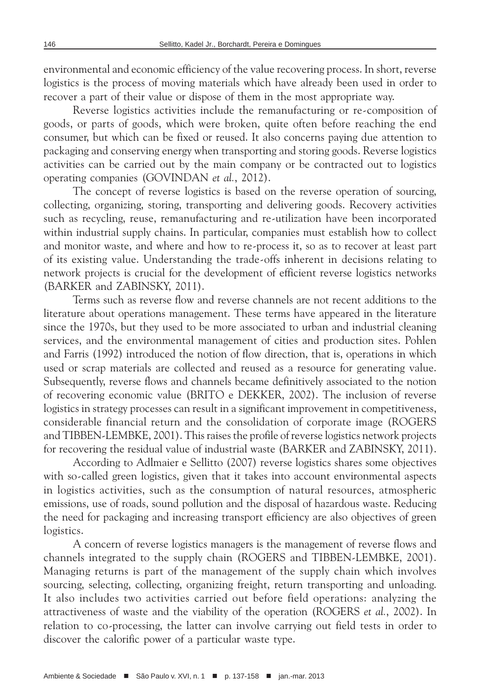environmental and economic efficiency of the value recovering process. In short, reverse logistics is the process of moving materials which have already been used in order to recover a part of their value or dispose of them in the most appropriate way.

Reverse logistics activities include the remanufacturing or re-composition of goods, or parts of goods, which were broken, quite often before reaching the end consumer, but which can be fixed or reused. It also concerns paying due attention to packaging and conserving energy when transporting and storing goods. Reverse logistics activities can be carried out by the main company or be contracted out to logistics operating companies (GOVINDAN *et al.*, 2012).

The concept of reverse logistics is based on the reverse operation of sourcing, collecting, organizing, storing, transporting and delivering goods. Recovery activities such as recycling, reuse, remanufacturing and re-utilization have been incorporated within industrial supply chains. In particular, companies must establish how to collect and monitor waste, and where and how to re-process it, so as to recover at least part of its existing value. Understanding the trade-offs inherent in decisions relating to network projects is crucial for the development of efficient reverse logistics networks (BARKER and ZABINSKY, 2011).

Terms such as reverse flow and reverse channels are not recent additions to the literature about operations management. These terms have appeared in the literature since the 1970s, but they used to be more associated to urban and industrial cleaning services, and the environmental management of cities and production sites. Pohlen and Farris (1992) introduced the notion of flow direction, that is, operations in which used or scrap materials are collected and reused as a resource for generating value. Subsequently, reverse flows and channels became definitively associated to the notion of recovering economic value (BRITO e DEKKER, 2002). The inclusion of reverse logistics in strategy processes can result in a significant improvement in competitiveness, considerable financial return and the consolidation of corporate image (ROGERS and TIBBEN-LEMBKE, 2001). This raises the profile of reverse logistics network projects for recovering the residual value of industrial waste (BARKER and ZABINSKY, 2011).

According to Adlmaier e Sellitto (2007) reverse logistics shares some objectives with so-called green logistics, given that it takes into account environmental aspects in logistics activities, such as the consumption of natural resources, atmospheric emissions, use of roads, sound pollution and the disposal of hazardous waste. Reducing the need for packaging and increasing transport efficiency are also objectives of green logistics.

A concern of reverse logistics managers is the management of reverse flows and channels integrated to the supply chain (ROGERS and TIBBEN-LEMBKE, 2001). Managing returns is part of the management of the supply chain which involves sourcing, selecting, collecting, organizing freight, return transporting and unloading. It also includes two activities carried out before field operations: analyzing the attractiveness of waste and the viability of the operation (ROGERS *et al.*, 2002). In relation to co-processing, the latter can involve carrying out field tests in order to discover the calorific power of a particular waste type.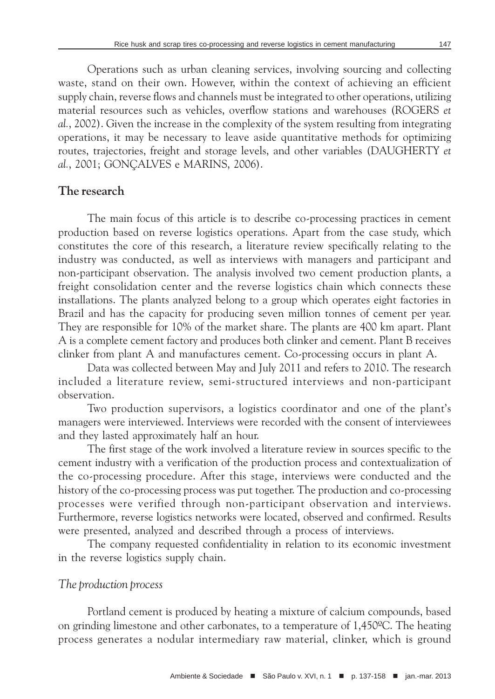Operations such as urban cleaning services, involving sourcing and collecting waste, stand on their own. However, within the context of achieving an efficient supply chain, reverse flows and channels must be integrated to other operations, utilizing material resources such as vehicles, overflow stations and warehouses (ROGERS *et al.*, 2002). Given the increase in the complexity of the system resulting from integrating operations, it may be necessary to leave aside quantitative methods for optimizing routes, trajectories, freight and storage levels, and other variables (DAUGHERTY *et al.*, 2001; GONÇALVES e MARINS, 2006).

# **The research**

The main focus of this article is to describe co-processing practices in cement production based on reverse logistics operations. Apart from the case study, which constitutes the core of this research, a literature review specifically relating to the industry was conducted, as well as interviews with managers and participant and non-participant observation. The analysis involved two cement production plants, a freight consolidation center and the reverse logistics chain which connects these installations. The plants analyzed belong to a group which operates eight factories in Brazil and has the capacity for producing seven million tonnes of cement per year. They are responsible for 10% of the market share. The plants are 400 km apart. Plant A is a complete cement factory and produces both clinker and cement. Plant B receives clinker from plant A and manufactures cement. Co-processing occurs in plant A.

Data was collected between May and July 2011 and refers to 2010. The research included a literature review, semi-structured interviews and non-participant observation.

Two production supervisors, a logistics coordinator and one of the plant's managers were interviewed. Interviews were recorded with the consent of interviewees and they lasted approximately half an hour.

The first stage of the work involved a literature review in sources specific to the cement industry with a verification of the production process and contextualization of the co-processing procedure. After this stage, interviews were conducted and the history of the co-processing process was put together. The production and co-processing processes were verified through non-participant observation and interviews. Furthermore, reverse logistics networks were located, observed and confirmed. Results were presented, analyzed and described through a process of interviews.

The company requested confidentiality in relation to its economic investment in the reverse logistics supply chain.

# *The production process*

Portland cement is produced by heating a mixture of calcium compounds, based on grinding limestone and other carbonates, to a temperature of 1,450ºC. The heating process generates a nodular intermediary raw material, clinker, which is ground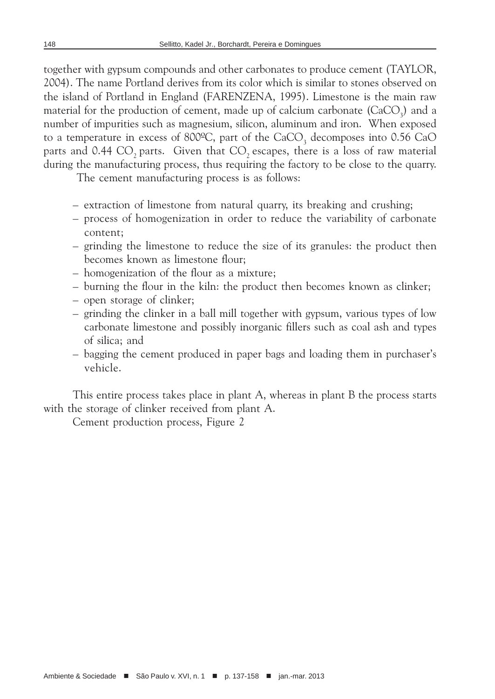together with gypsum compounds and other carbonates to produce cement (TAYLOR, 2004). The name Portland derives from its color which is similar to stones observed on the island of Portland in England (FARENZENA, 1995). Limestone is the main raw material for the production of cement, made up of calcium carbonate  $(CaCO<sub>3</sub>)$  and a number of impurities such as magnesium, silicon, aluminum and iron. When exposed to a temperature in excess of 800°C, part of the CaCO<sub>3</sub> decomposes into 0.56 CaO parts and 0.44 CO<sub>2</sub> parts. Given that CO<sub>2</sub> escapes, there is a loss of raw material during the manufacturing process, thus requiring the factory to be close to the quarry.

The cement manufacturing process is as follows:

- extraction of limestone from natural quarry, its breaking and crushing;
- process of homogenization in order to reduce the variability of carbonate content;
- grinding the limestone to reduce the size of its granules: the product then becomes known as limestone flour;
- homogenization of the flour as a mixture;
- burning the flour in the kiln: the product then becomes known as clinker;
- open storage of clinker;
- grinding the clinker in a ball mill together with gypsum, various types of low carbonate limestone and possibly inorganic fillers such as coal ash and types of silica; and
- bagging the cement produced in paper bags and loading them in purchaser's vehicle.

This entire process takes place in plant A, whereas in plant B the process starts with the storage of clinker received from plant A.

Cement production process, Figure 2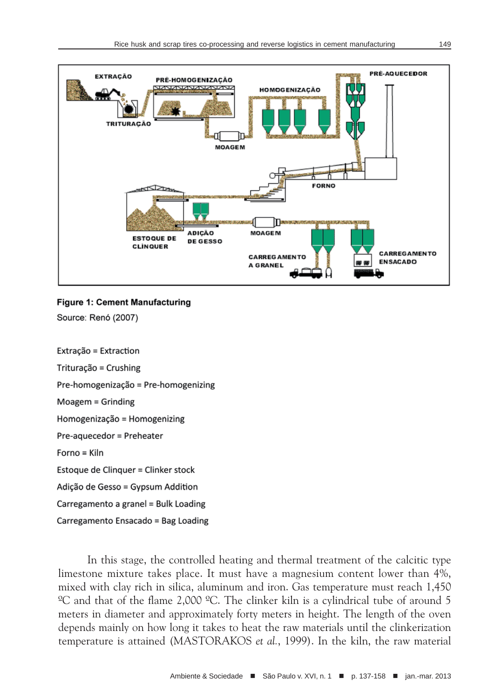

#### **Figure 1: Cement Manufacturing**

Source: Renó (2007)

Extração = Extraction Trituração = Crushing Pre-homogenização = Pre-homogenizing Moagem = Grinding Homogenização = Homogenizing Pre-aquecedor = Preheater Forno = Kiln Estoque de Clinquer = Clinker stock Adição de Gesso = Gypsum Addition Carregamento a granel = Bulk Loading Carregamento Ensacado = Bag Loading

In this stage, the controlled heating and thermal treatment of the calcitic type limestone mixture takes place. It must have a magnesium content lower than 4%, mixed with clay rich in silica, aluminum and iron. Gas temperature must reach 1,450  $\rm{°C}$  and that of the flame 2,000  $\rm{°C}$ . The clinker kiln is a cylindrical tube of around 5 meters in diameter and approximately forty meters in height. The length of the oven depends mainly on how long it takes to heat the raw materials until the clinkerization temperature is attained (MASTORAKOS *et al.*, 1999). In the kiln, the raw material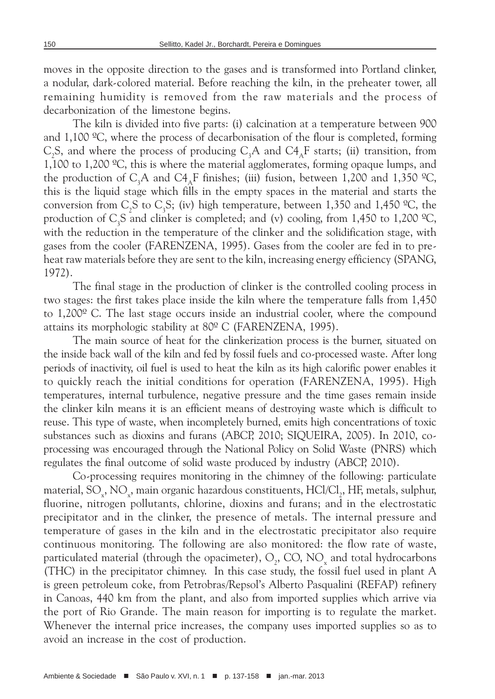moves in the opposite direction to the gases and is transformed into Portland clinker, a nodular, dark-colored material. Before reaching the kiln, in the preheater tower, all remaining humidity is removed from the raw materials and the process of decarbonization of the limestone begins.

The kiln is divided into five parts: (i) calcination at a temperature between 900 and 1,100 ºC, where the process of decarbonisation of the flour is completed, forming  $C_2$ S, and where the process of producing  $C_3$ A and  $C4_A$ F starts; (ii) transition, from 1,100 to 1,200 ºC, this is where the material agglomerates, forming opaque lumps, and the production of  $C_3A$  and  $C4_AF$  finishes; (iii) fusion, between 1,200 and 1,350 °C, this is the liquid stage which fills in the empty spaces in the material and starts the conversion from  $C_2S$  to  $C_3S$ ; (iv) high temperature, between 1,350 and 1,450 °C, the production of C<sub>3</sub>S and clinker is completed; and (v) cooling, from 1,450 to 1,200 <sup>o</sup>C, with the reduction in the temperature of the clinker and the solidification stage, with gases from the cooler (FARENZENA, 1995). Gases from the cooler are fed in to preheat raw materials before they are sent to the kiln, increasing energy efficiency (SPANG, 1972).

The final stage in the production of clinker is the controlled cooling process in two stages: the first takes place inside the kiln where the temperature falls from 1,450 to 1,200º C. The last stage occurs inside an industrial cooler, where the compound attains its morphologic stability at 80<sup>o</sup> C (FARENZENA, 1995).

The main source of heat for the clinkerization process is the burner, situated on the inside back wall of the kiln and fed by fossil fuels and co-processed waste. After long periods of inactivity, oil fuel is used to heat the kiln as its high calorific power enables it to quickly reach the initial conditions for operation (FARENZENA, 1995). High temperatures, internal turbulence, negative pressure and the time gases remain inside the clinker kiln means it is an efficient means of destroying waste which is difficult to reuse. This type of waste, when incompletely burned, emits high concentrations of toxic substances such as dioxins and furans (ABCP, 2010; SIQUEIRA, 2005). In 2010, coprocessing was encouraged through the National Policy on Solid Waste (PNRS) which regulates the final outcome of solid waste produced by industry (ABCP, 2010).

Co-processing requires monitoring in the chimney of the following: particulate material, SO<sub>x</sub>, NO<sub>x</sub>, main organic hazardous constituents, HCl/Cl<sub>2</sub>, HF, metals, sulphur, fluorine, nitrogen pollutants, chlorine, dioxins and furans; and in the electrostatic precipitator and in the clinker, the presence of metals. The internal pressure and temperature of gases in the kiln and in the electrostatic precipitator also require continuous monitoring. The following are also monitored: the flow rate of waste, particulated material (through the opacimeter),  $\mathrm{O}_2^{},$  CO, NO $_{\mathrm{x}}^{}$  and total hydrocarbons (THC) in the precipitator chimney. In this case study, the fossil fuel used in plant A is green petroleum coke, from Petrobras/Repsol's Alberto Pasqualini (REFAP) refinery in Canoas, 440 km from the plant, and also from imported supplies which arrive via the port of Rio Grande. The main reason for importing is to regulate the market. Whenever the internal price increases, the company uses imported supplies so as to avoid an increase in the cost of production.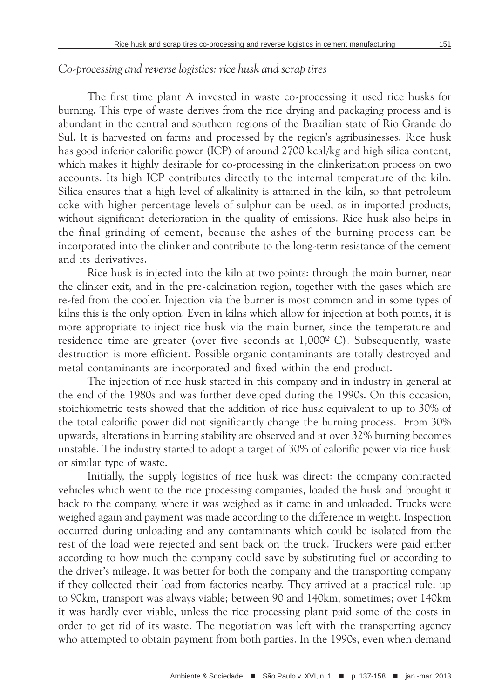## *Co-processing and reverse logistics: rice husk and scrap tires*

The first time plant A invested in waste co-processing it used rice husks for burning. This type of waste derives from the rice drying and packaging process and is abundant in the central and southern regions of the Brazilian state of Rio Grande do Sul. It is harvested on farms and processed by the region's agribusinesses. Rice husk has good inferior calorific power (ICP) of around 2700 kcal/kg and high silica content, which makes it highly desirable for co-processing in the clinkerization process on two accounts. Its high ICP contributes directly to the internal temperature of the kiln. Silica ensures that a high level of alkalinity is attained in the kiln, so that petroleum coke with higher percentage levels of sulphur can be used, as in imported products, without significant deterioration in the quality of emissions. Rice husk also helps in the final grinding of cement, because the ashes of the burning process can be incorporated into the clinker and contribute to the long-term resistance of the cement and its derivatives.

Rice husk is injected into the kiln at two points: through the main burner, near the clinker exit, and in the pre-calcination region, together with the gases which are re-fed from the cooler. Injection via the burner is most common and in some types of kilns this is the only option. Even in kilns which allow for injection at both points, it is more appropriate to inject rice husk via the main burner, since the temperature and residence time are greater (over five seconds at  $1,000^\circ$  C). Subsequently, waste destruction is more efficient. Possible organic contaminants are totally destroyed and metal contaminants are incorporated and fixed within the end product.

The injection of rice husk started in this company and in industry in general at the end of the 1980s and was further developed during the 1990s. On this occasion, stoichiometric tests showed that the addition of rice husk equivalent to up to 30% of the total calorific power did not significantly change the burning process. From 30% upwards, alterations in burning stability are observed and at over 32% burning becomes unstable. The industry started to adopt a target of 30% of calorific power via rice husk or similar type of waste.

Initially, the supply logistics of rice husk was direct: the company contracted vehicles which went to the rice processing companies, loaded the husk and brought it back to the company, where it was weighed as it came in and unloaded. Trucks were weighed again and payment was made according to the difference in weight. Inspection occurred during unloading and any contaminants which could be isolated from the rest of the load were rejected and sent back on the truck. Truckers were paid either according to how much the company could save by substituting fuel or according to the driver's mileage. It was better for both the company and the transporting company if they collected their load from factories nearby. They arrived at a practical rule: up to 90km, transport was always viable; between 90 and 140km, sometimes; over 140km it was hardly ever viable, unless the rice processing plant paid some of the costs in order to get rid of its waste. The negotiation was left with the transporting agency who attempted to obtain payment from both parties. In the 1990s, even when demand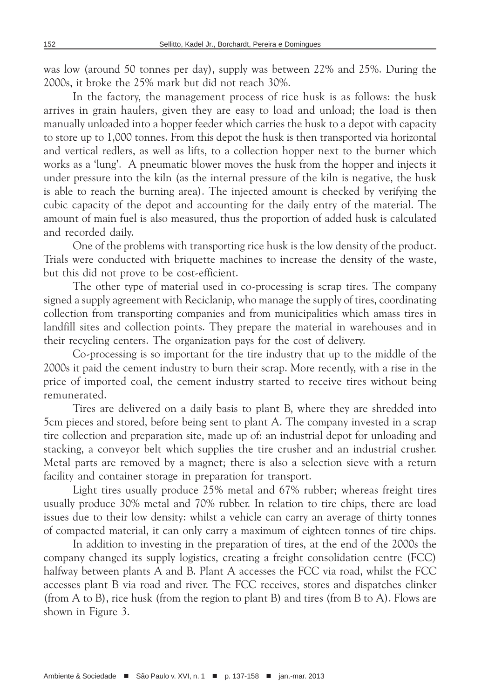was low (around 50 tonnes per day), supply was between 22% and 25%. During the 2000s, it broke the 25% mark but did not reach 30%.

In the factory, the management process of rice husk is as follows: the husk arrives in grain haulers, given they are easy to load and unload; the load is then manually unloaded into a hopper feeder which carries the husk to a depot with capacity to store up to 1,000 tonnes. From this depot the husk is then transported via horizontal and vertical redlers, as well as lifts, to a collection hopper next to the burner which works as a 'lung'. A pneumatic blower moves the husk from the hopper and injects it under pressure into the kiln (as the internal pressure of the kiln is negative, the husk is able to reach the burning area). The injected amount is checked by verifying the cubic capacity of the depot and accounting for the daily entry of the material. The amount of main fuel is also measured, thus the proportion of added husk is calculated and recorded daily.

One of the problems with transporting rice husk is the low density of the product. Trials were conducted with briquette machines to increase the density of the waste, but this did not prove to be cost-efficient.

The other type of material used in co-processing is scrap tires. The company signed a supply agreement with Reciclanip, who manage the supply of tires, coordinating collection from transporting companies and from municipalities which amass tires in landfill sites and collection points. They prepare the material in warehouses and in their recycling centers. The organization pays for the cost of delivery.

Co-processing is so important for the tire industry that up to the middle of the 2000s it paid the cement industry to burn their scrap. More recently, with a rise in the price of imported coal, the cement industry started to receive tires without being remunerated.

Tires are delivered on a daily basis to plant B, where they are shredded into 5cm pieces and stored, before being sent to plant A. The company invested in a scrap tire collection and preparation site, made up of: an industrial depot for unloading and stacking, a conveyor belt which supplies the tire crusher and an industrial crusher. Metal parts are removed by a magnet; there is also a selection sieve with a return facility and container storage in preparation for transport.

Light tires usually produce 25% metal and 67% rubber; whereas freight tires usually produce 30% metal and 70% rubber. In relation to tire chips, there are load issues due to their low density: whilst a vehicle can carry an average of thirty tonnes of compacted material, it can only carry a maximum of eighteen tonnes of tire chips.

In addition to investing in the preparation of tires, at the end of the 2000s the company changed its supply logistics, creating a freight consolidation centre (FCC) halfway between plants A and B. Plant A accesses the FCC via road, whilst the FCC accesses plant B via road and river. The FCC receives, stores and dispatches clinker (from A to B), rice husk (from the region to plant B) and tires (from B to A). Flows are shown in Figure 3.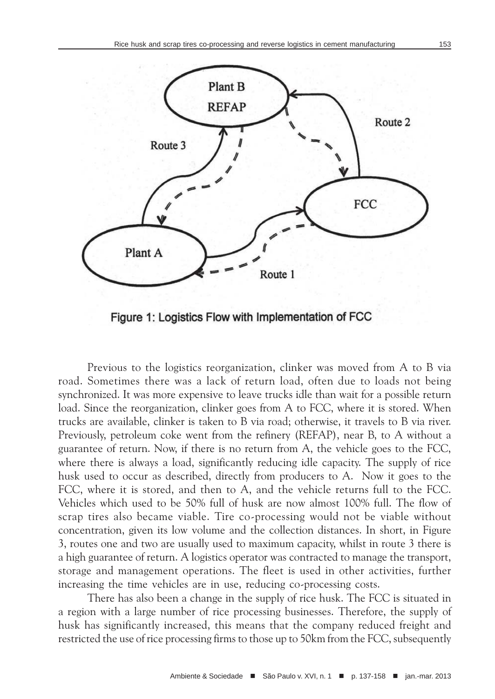

Figure 1: Logistics Flow with Implementation of FCC

Previous to the logistics reorganization, clinker was moved from A to B via road. Sometimes there was a lack of return load, often due to loads not being synchronized. It was more expensive to leave trucks idle than wait for a possible return load. Since the reorganization, clinker goes from A to FCC, where it is stored. When trucks are available, clinker is taken to B via road; otherwise, it travels to B via river. Previously, petroleum coke went from the refinery (REFAP), near B, to A without a guarantee of return. Now, if there is no return from A, the vehicle goes to the FCC, where there is always a load, significantly reducing idle capacity. The supply of rice husk used to occur as described, directly from producers to A. Now it goes to the FCC, where it is stored, and then to A, and the vehicle returns full to the FCC. Vehicles which used to be 50% full of husk are now almost 100% full. The flow of scrap tires also became viable. Tire co-processing would not be viable without concentration, given its low volume and the collection distances. In short, in Figure 3, routes one and two are usually used to maximum capacity, whilst in route 3 there is a high guarantee of return. A logistics operator was contracted to manage the transport, storage and management operations. The fleet is used in other activities, further increasing the time vehicles are in use, reducing co-processing costs.

There has also been a change in the supply of rice husk. The FCC is situated in a region with a large number of rice processing businesses. Therefore, the supply of husk has significantly increased, this means that the company reduced freight and restricted the use of rice processing firms to those up to 50km from the FCC, subsequently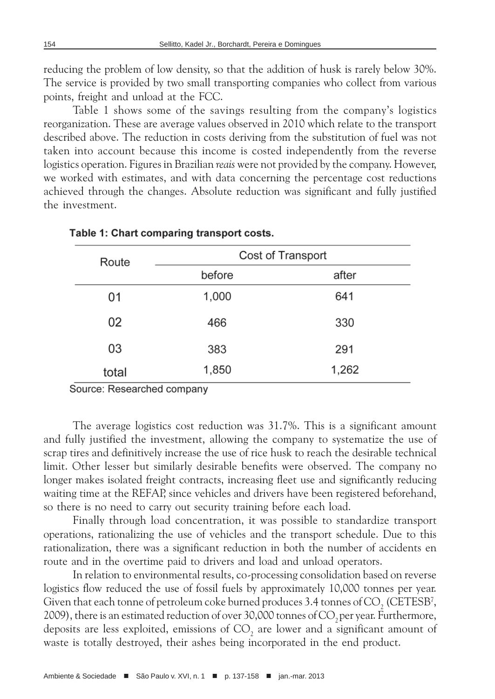reducing the problem of low density, so that the addition of husk is rarely below 30%. The service is provided by two small transporting companies who collect from various points, freight and unload at the FCC.

Table 1 shows some of the savings resulting from the company's logistics reorganization. These are average values observed in 2010 which relate to the transport described above. The reduction in costs deriving from the substitution of fuel was not taken into account because this income is costed independently from the reverse logistics operation. Figures in Brazilian *reais* were not provided by the company. However, we worked with estimates, and with data concerning the percentage cost reductions achieved through the changes. Absolute reduction was significant and fully justified the investment.

| Route | Cost of Transport |       |
|-------|-------------------|-------|
|       | before            | after |
| 01    | 1,000             | 641   |
| 02    | 466               | 330   |
| 03    | 383               | 291   |
| total | 1,850             | 1,262 |

#### Table 1: Chart comparing transport costs.

Source: Researched company

The average logistics cost reduction was 31.7%. This is a significant amount and fully justified the investment, allowing the company to systematize the use of scrap tires and definitively increase the use of rice husk to reach the desirable technical limit. Other lesser but similarly desirable benefits were observed. The company no longer makes isolated freight contracts, increasing fleet use and significantly reducing waiting time at the REFAP, since vehicles and drivers have been registered beforehand, so there is no need to carry out security training before each load.

Finally through load concentration, it was possible to standardize transport operations, rationalizing the use of vehicles and the transport schedule. Due to this rationalization, there was a significant reduction in both the number of accidents en route and in the overtime paid to drivers and load and unload operators.

In relation to environmental results, co-processing consolidation based on reverse logistics flow reduced the use of fossil fuels by approximately 10,000 tonnes per year. Given that each tonne of petroleum coke burned produces 3.4 tonnes of CO<sub>2</sub> (CETESB<sup>7</sup>, 2009), there is an estimated reduction of over 30,000 tonnes of CO<sub>2</sub> per year. Furthermore, deposits are less exploited, emissions of  $\mathrm{CO}_2$  are lower and a significant amount of waste is totally destroyed, their ashes being incorporated in the end product.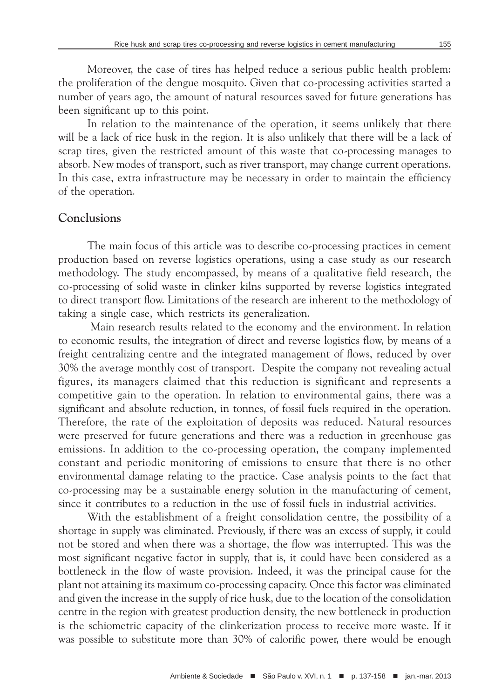Moreover, the case of tires has helped reduce a serious public health problem: the proliferation of the dengue mosquito. Given that co-processing activities started a number of years ago, the amount of natural resources saved for future generations has been significant up to this point.

In relation to the maintenance of the operation, it seems unlikely that there will be a lack of rice husk in the region. It is also unlikely that there will be a lack of scrap tires, given the restricted amount of this waste that co-processing manages to absorb. New modes of transport, such as river transport, may change current operations. In this case, extra infrastructure may be necessary in order to maintain the efficiency of the operation.

### **Conclusions**

The main focus of this article was to describe co-processing practices in cement production based on reverse logistics operations, using a case study as our research methodology. The study encompassed, by means of a qualitative field research, the co-processing of solid waste in clinker kilns supported by reverse logistics integrated to direct transport flow. Limitations of the research are inherent to the methodology of taking a single case, which restricts its generalization.

 Main research results related to the economy and the environment. In relation to economic results, the integration of direct and reverse logistics flow, by means of a freight centralizing centre and the integrated management of flows, reduced by over 30% the average monthly cost of transport. Despite the company not revealing actual figures, its managers claimed that this reduction is significant and represents a competitive gain to the operation. In relation to environmental gains, there was a significant and absolute reduction, in tonnes, of fossil fuels required in the operation. Therefore, the rate of the exploitation of deposits was reduced. Natural resources were preserved for future generations and there was a reduction in greenhouse gas emissions. In addition to the co-processing operation, the company implemented constant and periodic monitoring of emissions to ensure that there is no other environmental damage relating to the practice. Case analysis points to the fact that co-processing may be a sustainable energy solution in the manufacturing of cement, since it contributes to a reduction in the use of fossil fuels in industrial activities.

With the establishment of a freight consolidation centre, the possibility of a shortage in supply was eliminated. Previously, if there was an excess of supply, it could not be stored and when there was a shortage, the flow was interrupted. This was the most significant negative factor in supply, that is, it could have been considered as a bottleneck in the flow of waste provision. Indeed, it was the principal cause for the plant not attaining its maximum co-processing capacity. Once this factor was eliminated and given the increase in the supply of rice husk, due to the location of the consolidation centre in the region with greatest production density, the new bottleneck in production is the schiometric capacity of the clinkerization process to receive more waste. If it was possible to substitute more than 30% of calorific power, there would be enough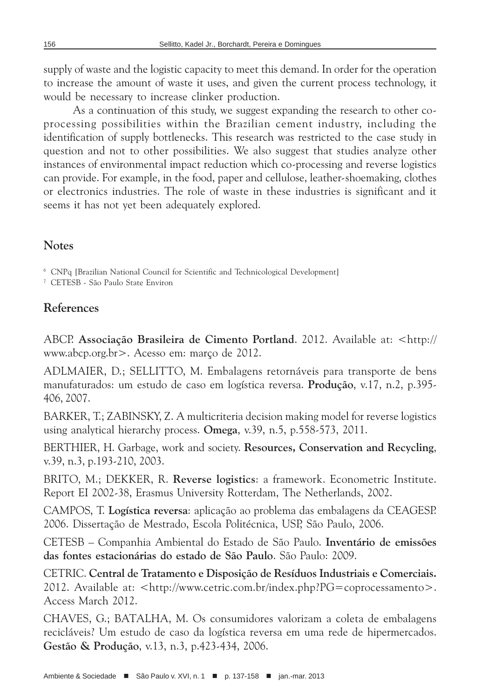supply of waste and the logistic capacity to meet this demand. In order for the operation to increase the amount of waste it uses, and given the current process technology, it would be necessary to increase clinker production.

As a continuation of this study, we suggest expanding the research to other coprocessing possibilities within the Brazilian cement industry, including the identification of supply bottlenecks. This research was restricted to the case study in question and not to other possibilities. We also suggest that studies analyze other instances of environmental impact reduction which co-processing and reverse logistics can provide. For example, in the food, paper and cellulose, leather-shoemaking, clothes or electronics industries. The role of waste in these industries is significant and it seems it has not yet been adequately explored.

#### **Notes**

<sup>6</sup> CNPq [Brazilian National Council for Scientific and Technicological Development]

<sup>7</sup> CETESB - São Paulo State Environ

# **References**

ABCP. **Associação Brasileira de Cimento Portland**. 2012. Available at: <http:// www.abcp.org.br>. Acesso em: março de 2012.

ADLMAIER, D.; SELLITTO, M. Embalagens retornáveis para transporte de bens manufaturados: um estudo de caso em logística reversa. **Produção**, v.17, n.2, p.395- 406, 2007.

BARKER, T.; ZABINSKY, Z. A multicriteria decision making model for reverse logistics using analytical hierarchy process. **Omega**, v.39, n.5, p.558-573, 2011.

BERTHIER, H. Garbage, work and society. **Resources, Conservation and Recycling**, v.39, n.3, p.193-210, 2003.

BRITO, M.; DEKKER, R. **Reverse logistics**: a framework. Econometric Institute. Report EI 2002-38, Erasmus University Rotterdam, The Netherlands, 2002.

CAMPOS, T. **Logística reversa**: aplicação ao problema das embalagens da CEAGESP. 2006. Dissertação de Mestrado, Escola Politécnica, USP, São Paulo, 2006.

CETESB – Companhia Ambiental do Estado de São Paulo. **Inventário de emissões das fontes estacionárias do estado de São Paulo**. São Paulo: 2009.

CETRIC. **Central de Tratamento e Disposição de Resíduos Industriais e Comerciais.** 2012. Available at: <http://www.cetric.com.br/index.php?PG=coprocessamento>. Access March 2012.

CHAVES, G.; BATALHA, M. Os consumidores valorizam a coleta de embalagens recicláveis? Um estudo de caso da logística reversa em uma rede de hipermercados. **Gestão & Produção**, v.13, n.3, p.423-434, 2006.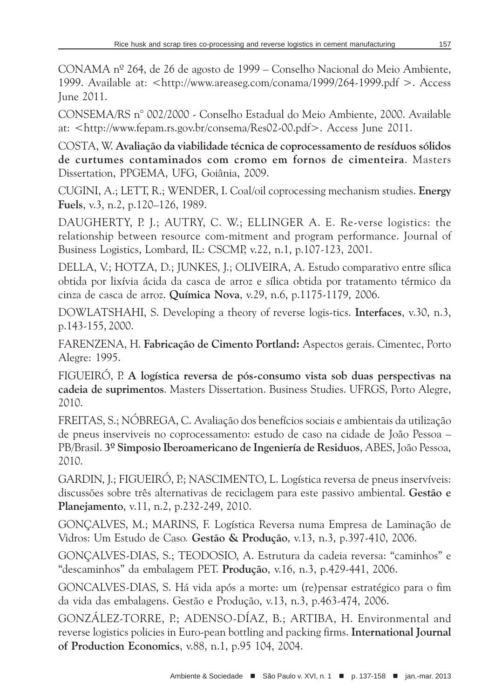CONAMA nº 264, de 26 de agosto de 1999 – Conselho Nacional do Meio Ambiente, 1999. Available at: <http://www.areaseg.com/conama/1999/264-1999.pdf >. Access June 2011.

CONSEMA/RS n° 002/2000 - Conselho Estadual do Meio Ambiente, 2000. Available at: <http://www.fepam.rs.gov.br/consema/Res02-00.pdf>. Access June 2011.

COSTA, W. **Avaliação da viabilidade técnica de coprocessamento de resíduos sólidos de curtumes contaminados com cromo em fornos de cimenteira**. Masters Dissertation, PPGEMA, UFG, Goiânia, 2009.

CUGINI, A.; LETT, R.; WENDER, I. Coal/oil coprocessing mechanism studies. **Energy Fuels**, v.3, n.2, p.120–126, 1989.

DAUGHERTY, P. J.; AUTRY, C. W.; ELLINGER A. E. Re-verse logistics: the relationship between resource com-mitment and program performance. Journal of Business Logistics, Lombard, IL: CSCMP, v.22, n.1, p.107-123, 2001.

DELLA, V.; HOTZA, D.; JUNKES, J.; OLIVEIRA, A. Estudo comparativo entre sílica obtida por lixívia ácida da casca de arroz e sílica obtida por tratamento térmico da cinza de casca de arroz. **Química Nova**, v.29, n.6, p.1175-1179, 2006.

DOWLATSHAHI, S. Developing a theory of reverse logis-tics. **Interfaces**, v.30, n.3, p.143-155, 2000.

FARENZENA, H. **Fabricação de Cimento Portland:** Aspectos gerais. Cimentec, Porto Alegre: 1995.

FIGUEIRÓ, P. **A logística reversa de pós-consumo vista sob duas perspectivas na cadeia de suprimentos**. Masters Dissertation. Business Studies. UFRGS, Porto Alegre, 2010.

FREITAS, S.; NÓBREGA, C. Avaliação dos benefícios sociais e ambientais da utilização de pneus inserviveis no coprocessamento: estudo de caso na cidade de João Pessoa – PB/Brasil. **3º Simposio Iberoamericano de Ingeniería de Residuos**, ABES, João Pessoa, 2010.

GARDIN, J.; FIGUEIRÓ, P.; NASCIMENTO, L. Logística reversa de pneus inservíveis: discussões sobre três alternativas de reciclagem para este passivo ambiental. **Gestão e Planejamento**, v.11, n.2, p.232-249, 2010.

GONÇALVES, M.; MARINS, F. Logística Reversa numa Empresa de Laminação de Vidros: Um Estudo de Caso*.* **Gestão & Produção**, v.13, n.3, p.397-410, 2006.

GONÇALVES-DIAS, S.; TEODOSIO, A. Estrutura da cadeia reversa: "caminhos" e "descaminhos" da embalagem PET. **Produção**, v.16, n.3, p.429-441, 2006.

GONCALVES-DIAS, S. Há vida após a morte: um (re)pensar estratégico para o fim da vida das embalagens. Gestão e Produção, v.13, n.3, p.463-474, 2006.

GONZÁLEZ-TORRE, P.; ADENSO-DÍAZ, B.; ARTIBA, H. Environmental and reverse logistics policies in Euro-pean bottling and packing firms. **International Journal of Production Economics**, v.88, n.1, p.95 104, 2004.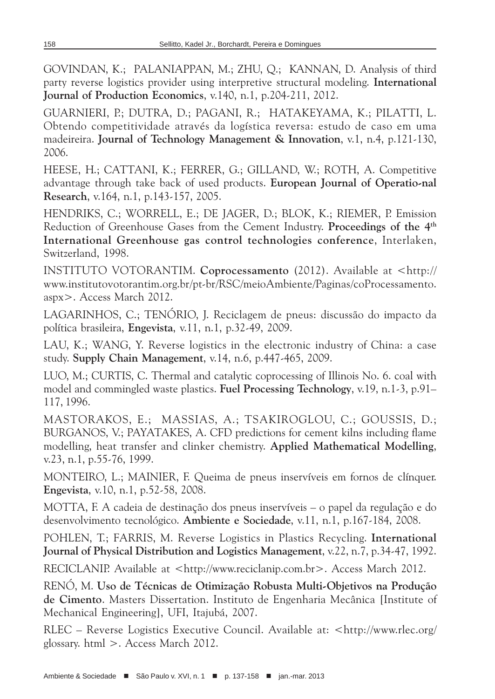GOVINDAN, K.; PALANIAPPAN, M.; ZHU, Q.; KANNAN, D. Analysis of third party reverse logistics provider using interpretive structural modeling. **International Journal of Production Economics**, v.140, n.1, p.204-211, 2012.

GUARNIERI, P.; DUTRA, D.; PAGANI, R.; HATAKEYAMA, K.; PILATTI, L. Obtendo competitividade através da logística reversa: estudo de caso em uma madeireira. **Journal of Technology Management & Innovation**, v.1, n.4, p.121-130, 2006.

HEESE, H.; CATTANI, K.; FERRER, G.; GILLAND, W.; ROTH, A. Competitive advantage through take back of used products. **European Journal of Operatio-nal Research**, v.164, n.1, p.143-157, 2005.

HENDRIKS, C.; WORRELL, E.; DE JAGER, D.; BLOK, K.; RIEMER, P. Emission Reduction of Greenhouse Gases from the Cement Industry. **Proceedings of the 4th International Greenhouse gas control technologies conference**, Interlaken, Switzerland, 1998.

INSTITUTO VOTORANTIM. **Coprocessamento** (2012). Available at <http:// www.institutovotorantim.org.br/pt-br/RSC/meioAmbiente/Paginas/coProcessamento. aspx>. Access March 2012.

LAGARINHOS, C.; TENÓRIO, J. Reciclagem de pneus: discussão do impacto da política brasileira, **Engevista**, v.11, n.1, p.32-49, 2009.

LAU, K.; WANG, Y. Reverse logistics in the electronic industry of China: a case study. **Supply Chain Management**, v.14, n.6, p.447-465, 2009.

LUO, M.; CURTIS, C. Thermal and catalytic coprocessing of Illinois No. 6. coal with model and commingled waste plastics. **Fuel Processing Technology**, v.19, n.1-3, p.91– 117, 1996.

MASTORAKOS, E.; MASSIAS, A.; TSAKIROGLOU, C.; GOUSSIS, D.; BURGANOS, V.; PAYATAKES, A. CFD predictions for cement kilns including flame modelling, heat transfer and clinker chemistry. **Applied Mathematical Modelling**, v.23, n.1, p.55-76, 1999.

MONTEIRO, L.; MAINIER, F. Queima de pneus inservíveis em fornos de clínquer. **Engevista**, v.10, n.1, p.52-58, 2008.

MOTTA, F. A cadeia de destinação dos pneus inservíveis – o papel da regulação e do desenvolvimento tecnológico. **Ambiente e Sociedade**, v.11, n.1, p.167-184, 2008.

POHLEN, T.; FARRIS, M. Reverse Logistics in Plastics Recycling. **International Journal of Physical Distribution and Logistics Management**, v.22, n.7, p.34-47, 1992.

RECICLANIP. Available at <http://www.reciclanip.com.br>. Access March 2012.

RENÓ, M. **Uso de Técnicas de Otimização Robusta Multi-Objetivos na Produção de Cimento**. Masters Dissertation. Instituto de Engenharia Mecânica [Institute of Mechanical Engineering], UFI, Itajubá, 2007.

RLEC – Reverse Logistics Executive Council. Available at: <http://www.rlec.org/ glossary. html >. Access March 2012.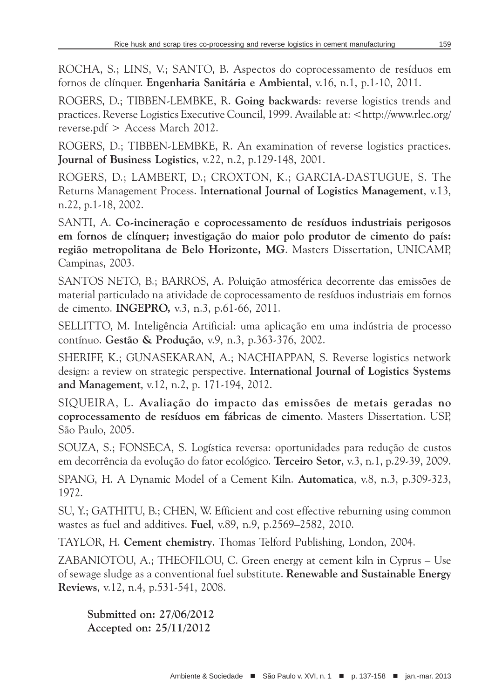ROCHA, S.; LINS, V.; SANTO, B. Aspectos do coprocessamento de resíduos em fornos de clínquer. **Engenharia Sanitária e Ambiental**, v.16, n.1, p.1-10, 2011.

ROGERS, D.; TIBBEN-LEMBKE, R. **Going backwards**: reverse logistics trends and practices. Reverse Logistics Executive Council, 1999. Available at: <http://www.rlec.org/ reverse.pdf > Access March 2012.

ROGERS, D.; TIBBEN-LEMBKE, R. An examination of reverse logistics practices. **Journal of Business Logistics**, v.22, n.2, p.129-148, 2001.

ROGERS, D.; LAMBERT, D.; CROXTON, K.; GARCIA-DASTUGUE, S. The Returns Management Process. I**nternational Journal of Logistics Management**, v.13, n.22, p.1-18, 2002.

SANTI, A. **Co-incineração e coprocessamento de resíduos industriais perigosos em fornos de clínquer; investigação do maior polo produtor de cimento do país: região metropolitana de Belo Horizonte, MG**. Masters Dissertation, UNICAMP, Campinas, 2003.

SANTOS NETO, B.; BARROS, A. Poluição atmosférica decorrente das emissões de material particulado na atividade de coprocessamento de resíduos industriais em fornos de cimento. **INGEPRO,** v.3, n.3, p.61-66, 2011.

SELLITTO, M. Inteligência Artificial: uma aplicação em uma indústria de processo contínuo. **Gestão & Produção**, v.9, n.3, p.363-376, 2002.

SHERIFF, K.; GUNASEKARAN, A.; NACHIAPPAN, S. Reverse logistics network design: a review on strategic perspective. **International Journal of Logistics Systems and Management**, v.12, n.2, p. 171-194, 2012.

SIQUEIRA, L. **Avaliação do impacto das emissões de metais geradas no coprocessamento de resíduos em fábricas de cimento**. Masters Dissertation. USP, São Paulo, 2005.

SOUZA, S.; FONSECA, S. Logística reversa: oportunidades para redução de custos em decorrência da evolução do fator ecológico. **Terceiro Setor**, v.3, n.1, p.29-39, 2009.

SPANG, H. A Dynamic Model of a Cement Kiln. **Automatica**, v.8, n.3, p.309-323, 1972.

SU, Y.; GATHITU, B.; CHEN, W. Efficient and cost effective reburning using common wastes as fuel and additives. **Fuel**, v.89, n.9, p.2569–2582, 2010.

TAYLOR, H. **Cement chemistry**. Thomas Telford Publishing, London, 2004.

ZABANIOTOU, A.; THEOFILOU, C. Green energy at cement kiln in Cyprus – Use of sewage sludge as a conventional fuel substitute. **Renewable and Sustainable Energy Reviews**, v.12, n.4, p.531-541, 2008.

**Submitted on: 27/06/2012 Accepted on: 25/11/2012**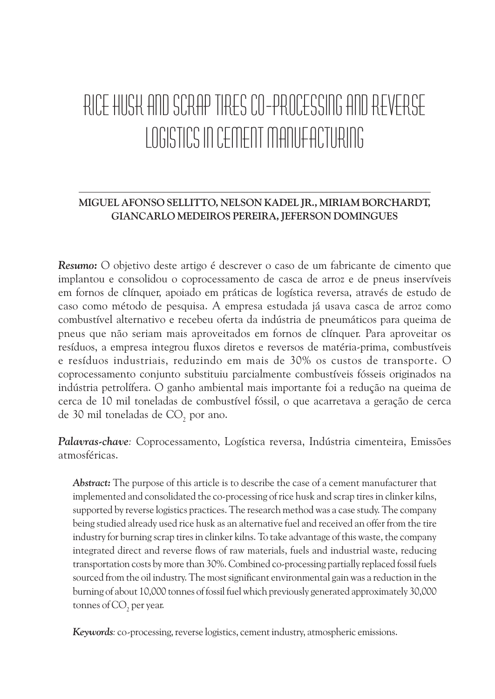# RICE HUSK AND SCRAP TIRES CO-PROCESSING AND REVERSE LOGISTICS IN CEMENT MANUFACTURING

# **MIGUEL AFONSO SELLITTO, NELSON KADEL JR., MIRIAM BORCHARDT, GIANCARLO MEDEIROS PEREIRA, JEFERSON DOMINGUES**

*Resumo:* O objetivo deste artigo é descrever o caso de um fabricante de cimento que implantou e consolidou o coprocessamento de casca de arroz e de pneus inservíveis em fornos de clínquer, apoiado em práticas de logística reversa, através de estudo de caso como método de pesquisa. A empresa estudada já usava casca de arroz como combustível alternativo e recebeu oferta da indústria de pneumáticos para queima de pneus que não seriam mais aproveitados em fornos de clínquer. Para aproveitar os resíduos, a empresa integrou fluxos diretos e reversos de matéria-prima, combustíveis e resíduos industriais, reduzindo em mais de 30% os custos de transporte. O coprocessamento conjunto substituiu parcialmente combustíveis fósseis originados na indústria petrolífera. O ganho ambiental mais importante foi a redução na queima de cerca de 10 mil toneladas de combustível fóssil, o que acarretava a geração de cerca de 30 mil toneladas de CO<sub>2</sub> por ano.

*Palavras-chave:* Coprocessamento, Logística reversa, Indústria cimenteira, Emissões atmosféricas.

*Abstract:* The purpose of this article is to describe the case of a cement manufacturer that implemented and consolidated the co-processing of rice husk and scrap tires in clinker kilns, supported by reverse logistics practices. The research method was a case study. The company being studied already used rice husk as an alternative fuel and received an offer from the tire industry for burning scrap tires in clinker kilns. To take advantage of this waste, the company integrated direct and reverse flows of raw materials, fuels and industrial waste, reducing transportation costs by more than 30%. Combined co-processing partially replaced fossil fuels sourced from the oil industry. The most significant environmental gain was a reduction in the burning of about 10,000 tonnes of fossil fuel which previously generated approximately 30,000 tonnes of  $\mathrm{CO}_2$  per year.

*Keywords:* co-processing, reverse logistics, cement industry, atmospheric emissions.